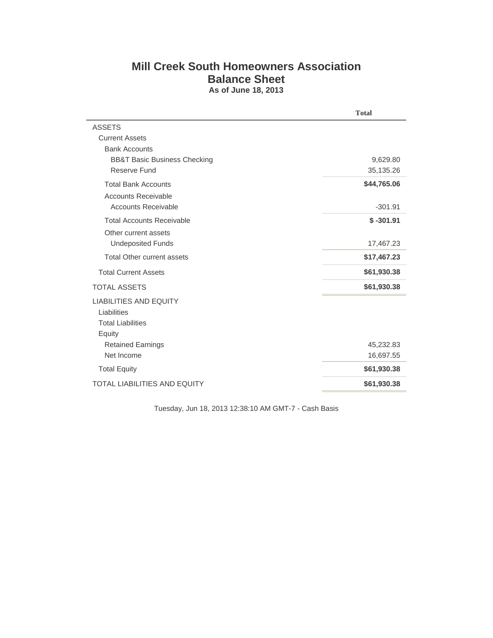## **Mill Creek South Homeowners Association Balance Sheet As of June 18, 2013**

|                                         | <b>Total</b> |
|-----------------------------------------|--------------|
| <b>ASSETS</b>                           |              |
| <b>Current Assets</b>                   |              |
| <b>Bank Accounts</b>                    |              |
| <b>BB&amp;T Basic Business Checking</b> | 9,629.80     |
| Reserve Fund                            | 35,135.26    |
| <b>Total Bank Accounts</b>              | \$44,765.06  |
| <b>Accounts Receivable</b>              |              |
| <b>Accounts Receivable</b>              | $-301.91$    |
| <b>Total Accounts Receivable</b>        | $$ -301.91$  |
| Other current assets                    |              |
| <b>Undeposited Funds</b>                | 17,467.23    |
| <b>Total Other current assets</b>       | \$17,467.23  |
| <b>Total Current Assets</b>             | \$61,930.38  |
| <b>TOTAL ASSETS</b>                     | \$61,930.38  |
| <b>LIABILITIES AND EQUITY</b>           |              |
| Liabilities                             |              |
| <b>Total Liabilities</b>                |              |
| Equity                                  |              |
| <b>Retained Earnings</b>                | 45,232.83    |
| Net Income                              | 16,697.55    |
| <b>Total Equity</b>                     | \$61,930.38  |
| <b>TOTAL LIABILITIES AND EQUITY</b>     | \$61,930.38  |

Tuesday, Jun 18, 2013 12:38:10 AM GMT-7 - Cash Basis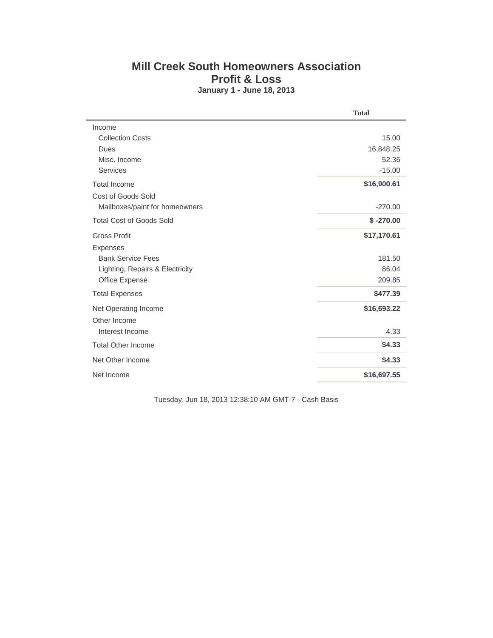## **Mill Creek South Homeowners Association Profit & Loss January 1 - June 18, 2013**

|                                 | <b>Total</b> |
|---------------------------------|--------------|
| Income                          |              |
| <b>Collection Costs</b>         | 15.00        |
| Dues                            | 16,848.25    |
| Misc. Income                    | 52.36        |
| <b>Services</b>                 | $-15.00$     |
| <b>Total Income</b>             | \$16,900.61  |
| Cost of Goods Sold              |              |
| Mailboxes/paint for homeowners  | $-270.00$    |
| <b>Total Cost of Goods Sold</b> | $$ -270.00$  |
| <b>Gross Profit</b>             | \$17,170.61  |
| <b>Expenses</b>                 |              |
| <b>Bank Service Fees</b>        | 181.50       |
| Lighting, Repairs & Electricity | 86.04        |
| Office Expense                  | 209.85       |
| <b>Total Expenses</b>           | \$477.39     |
| Net Operating Income            | \$16,693.22  |
| Other Income                    |              |
| Interest Income                 | 4.33         |
| <b>Total Other Income</b>       | \$4.33       |
| Net Other Income                | \$4.33       |
| Net Income                      | \$16,697.55  |

Tuesday, Jun 18, 2013 12:38:10 AM GMT-7 - Cash Basis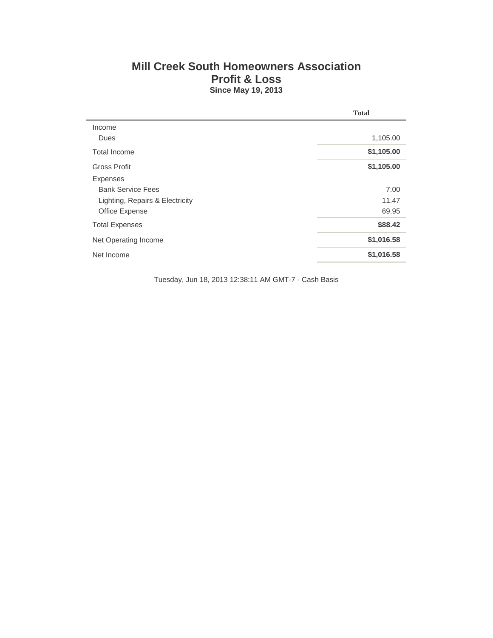## **Mill Creek South Homeowners Association Profit & Loss Since May 19, 2013**

|                                 | <b>Total</b> |
|---------------------------------|--------------|
| Income                          |              |
| Dues                            | 1,105.00     |
| Total Income                    | \$1,105.00   |
| Gross Profit                    | \$1,105.00   |
| <b>Expenses</b>                 |              |
| <b>Bank Service Fees</b>        | 7.00         |
| Lighting, Repairs & Electricity | 11.47        |
| Office Expense                  | 69.95        |
| <b>Total Expenses</b>           | \$88,42      |
| Net Operating Income            | \$1,016.58   |
| Net Income                      | \$1,016.58   |

Tuesday, Jun 18, 2013 12:38:11 AM GMT-7 - Cash Basis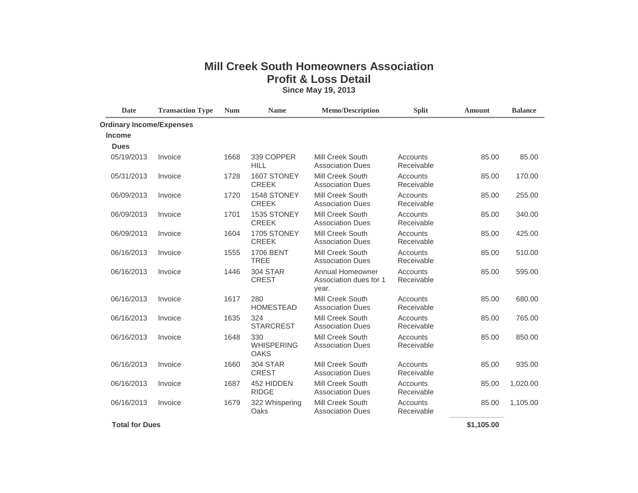## **Mill Creek South Homeowners Association Profit & Loss Detail Since May 19, 2013**

| Date                            | <b>Transaction Type</b> | <b>Num</b> | <b>Name</b>                             | <b>Memo/Description</b>                             | <b>Split</b>           | Amount | <b>Balance</b> |
|---------------------------------|-------------------------|------------|-----------------------------------------|-----------------------------------------------------|------------------------|--------|----------------|
| <b>Ordinary Income/Expenses</b> |                         |            |                                         |                                                     |                        |        |                |
| <b>Income</b>                   |                         |            |                                         |                                                     |                        |        |                |
| <b>Dues</b>                     |                         |            |                                         |                                                     |                        |        |                |
| 05/19/2013                      | Invoice                 | 1668       | 339 COPPER<br><b>HILL</b>               | Mill Creek South<br><b>Association Dues</b>         | Accounts<br>Receivable | 85.00  | 85.00          |
| 05/31/2013                      | Invoice                 | 1728       | 1607 STONEY<br><b>CREEK</b>             | Mill Creek South<br><b>Association Dues</b>         | Accounts<br>Receivable | 85.00  | 170.00         |
| 06/09/2013                      | Invoice                 | 1720       | 1548 STONEY<br><b>CREEK</b>             | <b>Mill Creek South</b><br><b>Association Dues</b>  | Accounts<br>Receivable | 85.00  | 255.00         |
| 06/09/2013                      | Invoice                 | 1701       | 1535 STONEY<br><b>CREEK</b>             | Mill Creek South<br><b>Association Dues</b>         | Accounts<br>Receivable | 85.00  | 340.00         |
| 06/09/2013                      | Invoice                 | 1604       | 1705 STONEY<br><b>CREEK</b>             | Mill Creek South<br><b>Association Dues</b>         | Accounts<br>Receivable | 85.00  | 425.00         |
| 06/16/2013                      | Invoice                 | 1555       | <b>1706 BENT</b><br><b>TREE</b>         | Mill Creek South<br><b>Association Dues</b>         | Accounts<br>Receivable | 85.00  | 510.00         |
| 06/16/2013                      | Invoice                 | 1446       | <b>304 STAR</b><br><b>CREST</b>         | Annual Homeowner<br>Association dues for 1<br>year. | Accounts<br>Receivable | 85.00  | 595.00         |
| 06/16/2013                      | Invoice                 | 1617       | 280<br><b>HOMESTEAD</b>                 | Mill Creek South<br><b>Association Dues</b>         | Accounts<br>Receivable | 85.00  | 680.00         |
| 06/16/2013                      | Invoice                 | 1635       | 324<br><b>STARCREST</b>                 | Mill Creek South<br><b>Association Dues</b>         | Accounts<br>Receivable | 85.00  | 765.00         |
| 06/16/2013                      | Invoice                 | 1648       | 330<br><b>WHISPERING</b><br><b>OAKS</b> | Mill Creek South<br><b>Association Dues</b>         | Accounts<br>Receivable | 85.00  | 850.00         |
| 06/16/2013                      | Invoice                 | 1660       | 304 STAR<br><b>CREST</b>                | Mill Creek South<br><b>Association Dues</b>         | Accounts<br>Receivable | 85.00  | 935.00         |
| 06/16/2013                      | Invoice                 | 1687       | 452 HIDDEN<br><b>RIDGE</b>              | Mill Creek South<br><b>Association Dues</b>         | Accounts<br>Receivable | 85.00  | 1,020.00       |
| 06/16/2013                      | Invoice                 | 1679       | 322 Whispering<br>Oaks                  | Mill Creek South<br><b>Association Dues</b>         | Accounts<br>Receivable | 85.00  | 1,105.00       |

 **Total for Dues \$1,105.00**